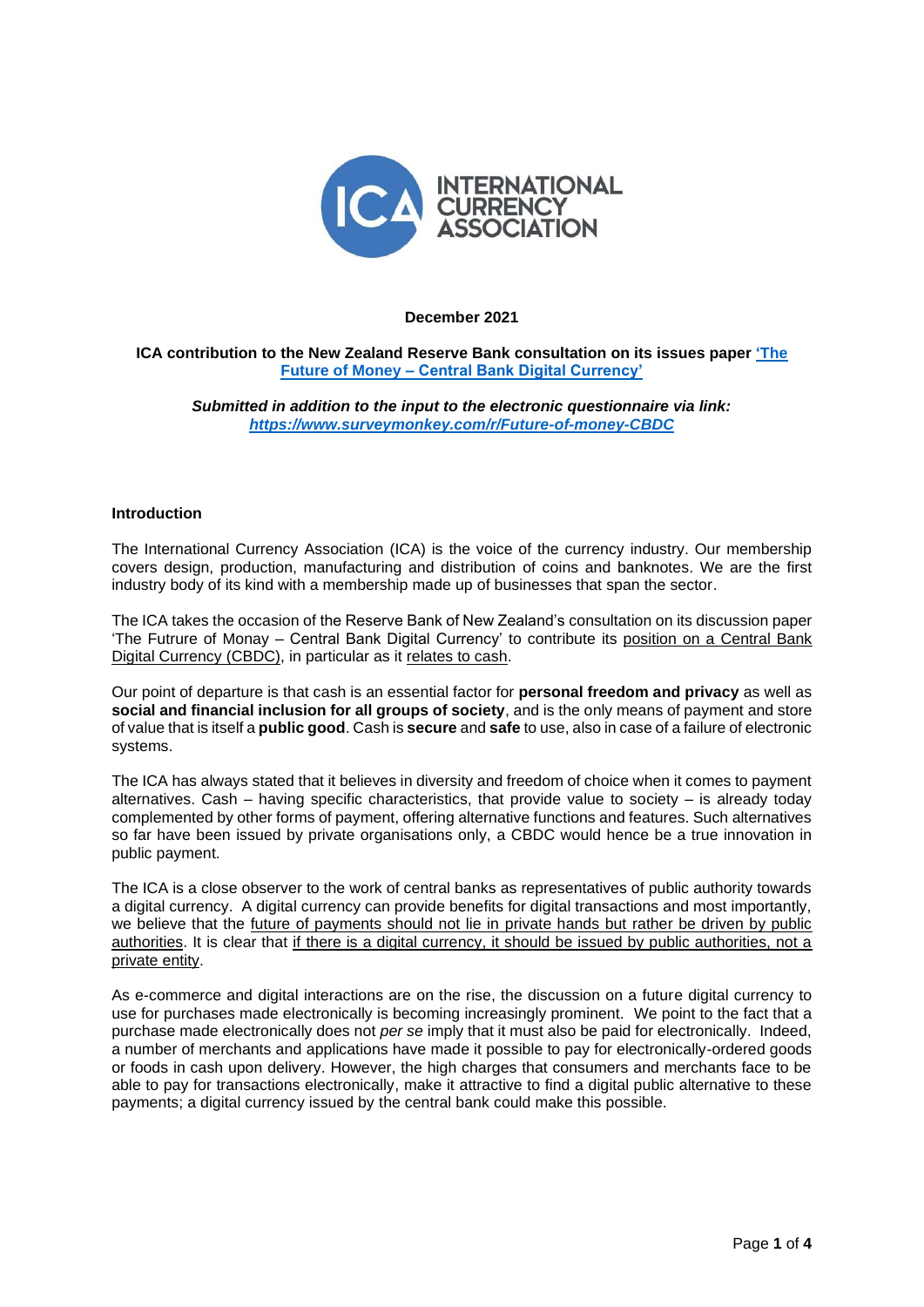

#### **December 2021**

## **ICA contribution to the New Zealand Reserve Bank consultation on its issues paper ['The](https://www.rbnz.govt.nz/-/media/ReserveBank/Files/Publications/Policy-development/Banks/Future-of-Money/CBDC-issues-paper.pdf?revision=69fc9f64-5ba2-485e-95ce-83c06c810a44&la=en)  Future of Money – [Central Bank Digital Currency'](https://www.rbnz.govt.nz/-/media/ReserveBank/Files/Publications/Policy-development/Banks/Future-of-Money/CBDC-issues-paper.pdf?revision=69fc9f64-5ba2-485e-95ce-83c06c810a44&la=en)**

*Submitted in addition to the input to the electronic questionnaire via link: <https://www.surveymonkey.com/r/Future-of-money-CBDC>*

#### **Introduction**

The International Currency Association (ICA) is the voice of the currency industry. Our membership covers design, production, manufacturing and distribution of coins and banknotes. We are the first industry body of its kind with a membership made up of businesses that span the sector.

The ICA takes the occasion of the Reserve Bank of New Zealand's consultation on its discussion paper 'The Futrure of Monay – Central Bank Digital Currency' to contribute its position on a Central Bank Digital Currency (CBDC), in particular as it relates to cash.

Our point of departure is that cash is an essential factor for **personal freedom and privacy** as well as **social and financial inclusion for all groups of society**, and is the only means of payment and store of value that is itself a **public good**. Cash is **secure** and **safe** to use, also in case of a failure of electronic systems.

The ICA has always stated that it believes in diversity and freedom of choice when it comes to payment alternatives. Cash – having specific characteristics, that provide value to society – is already today complemented by other forms of payment, offering alternative functions and features. Such alternatives so far have been issued by private organisations only, a CBDC would hence be a true innovation in public payment.

The ICA is a close observer to the work of central banks as representatives of public authority towards a digital currency. A digital currency can provide benefits for digital transactions and most importantly, we believe that the future of payments should not lie in private hands but rather be driven by public authorities. It is clear that if there is a digital currency, it should be issued by public authorities, not a private entity.

As e-commerce and digital interactions are on the rise, the discussion on a future digital currency to use for purchases made electronically is becoming increasingly prominent. We point to the fact that a purchase made electronically does not *per se* imply that it must also be paid for electronically. Indeed, a number of merchants and applications have made it possible to pay for electronically-ordered goods or foods in cash upon delivery. However, the high charges that consumers and merchants face to be able to pay for transactions electronically, make it attractive to find a digital public alternative to these payments; a digital currency issued by the central bank could make this possible.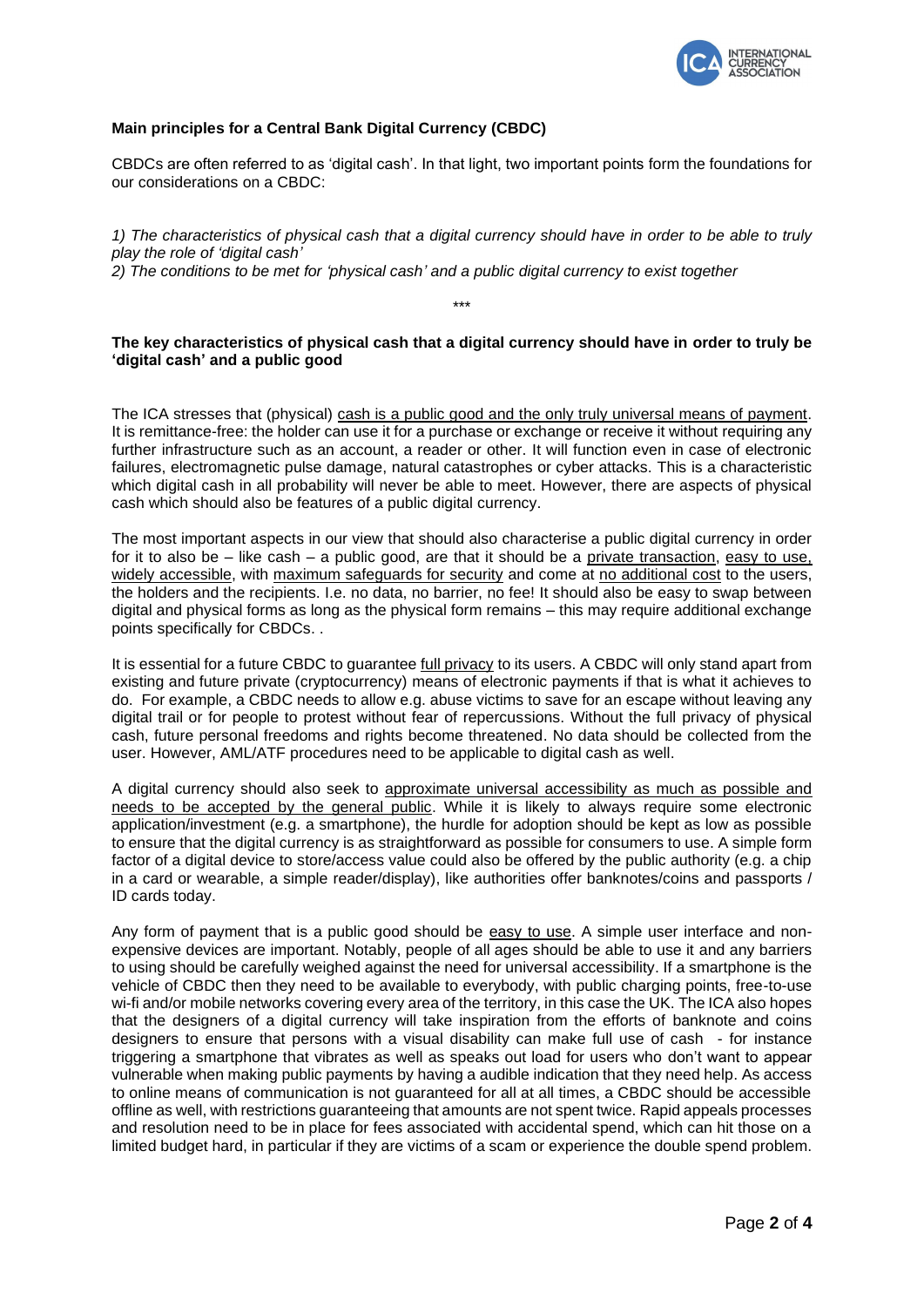

## **Main principles for a Central Bank Digital Currency (CBDC)**

CBDCs are often referred to as 'digital cash'. In that light, two important points form the foundations for our considerations on a CBDC:

*1) The characteristics of physical cash that a digital currency should have in order to be able to truly play the role of 'digital cash'*

*2) The conditions to be met for 'physical cash' and a public digital currency to exist together* 

## **The key characteristics of physical cash that a digital currency should have in order to truly be 'digital cash' and a public good**

\*\*\*

The ICA stresses that (physical) cash is a public good and the only truly universal means of payment. It is remittance-free: the holder can use it for a purchase or exchange or receive it without requiring any further infrastructure such as an account, a reader or other. It will function even in case of electronic failures, electromagnetic pulse damage, natural catastrophes or cyber attacks. This is a characteristic which digital cash in all probability will never be able to meet. However, there are aspects of physical cash which should also be features of a public digital currency.

The most important aspects in our view that should also characterise a public digital currency in order for it to also be – like cash – a public good, are that it should be a private transaction, easy to use, widely accessible, with maximum safeguards for security and come at no additional cost to the users, the holders and the recipients. I.e. no data, no barrier, no fee! It should also be easy to swap between digital and physical forms as long as the physical form remains – this may require additional exchange points specifically for CBDCs. .

It is essential for a future CBDC to guarantee full privacy to its users. A CBDC will only stand apart from existing and future private (cryptocurrency) means of electronic payments if that is what it achieves to do. For example, a CBDC needs to allow e.g. abuse victims to save for an escape without leaving any digital trail or for people to protest without fear of repercussions. Without the full privacy of physical cash, future personal freedoms and rights become threatened. No data should be collected from the user. However, AML/ATF procedures need to be applicable to digital cash as well.

A digital currency should also seek to approximate universal accessibility as much as possible and needs to be accepted by the general public. While it is likely to always require some electronic application/investment (e.g. a smartphone), the hurdle for adoption should be kept as low as possible to ensure that the digital currency is as straightforward as possible for consumers to use. A simple form factor of a digital device to store/access value could also be offered by the public authority (e.g. a chip in a card or wearable, a simple reader/display), like authorities offer banknotes/coins and passports / ID cards today.

Any form of payment that is a public good should be easy to use. A simple user interface and nonexpensive devices are important. Notably, people of all ages should be able to use it and any barriers to using should be carefully weighed against the need for universal accessibility. If a smartphone is the vehicle of CBDC then they need to be available to everybody, with public charging points, free-to-use wi-fi and/or mobile networks covering every area of the territory, in this case the UK. The ICA also hopes that the designers of a digital currency will take inspiration from the efforts of banknote and coins designers to ensure that persons with a visual disability can make full use of cash - for instance triggering a smartphone that vibrates as well as speaks out load for users who don't want to appear vulnerable when making public payments by having a audible indication that they need help. As access to online means of communication is not guaranteed for all at all times, a CBDC should be accessible offline as well, with restrictions guaranteeing that amounts are not spent twice. Rapid appeals processes and resolution need to be in place for fees associated with accidental spend, which can hit those on a limited budget hard, in particular if they are victims of a scam or experience the double spend problem.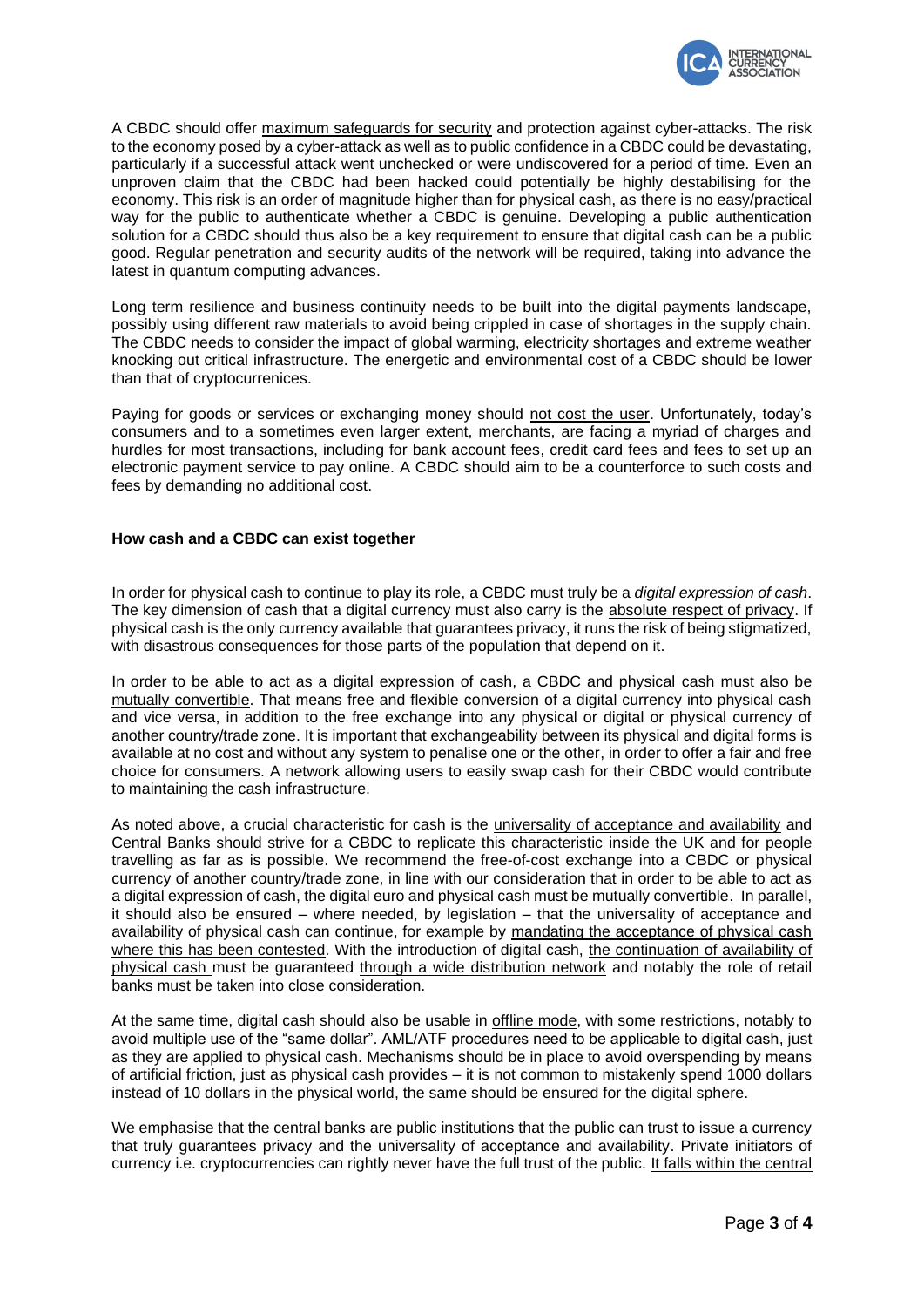

A CBDC should offer maximum safeguards for security and protection against cyber-attacks. The risk to the economy posed by a cyber-attack as well as to public confidence in a CBDC could be devastating, particularly if a successful attack went unchecked or were undiscovered for a period of time. Even an unproven claim that the CBDC had been hacked could potentially be highly destabilising for the economy. This risk is an order of magnitude higher than for physical cash, as there is no easy/practical way for the public to authenticate whether a CBDC is genuine. Developing a public authentication solution for a CBDC should thus also be a key requirement to ensure that digital cash can be a public good. Regular penetration and security audits of the network will be required, taking into advance the latest in quantum computing advances.

Long term resilience and business continuity needs to be built into the digital payments landscape, possibly using different raw materials to avoid being crippled in case of shortages in the supply chain. The CBDC needs to consider the impact of global warming, electricity shortages and extreme weather knocking out critical infrastructure. The energetic and environmental cost of a CBDC should be lower than that of cryptocurrenices.

Paying for goods or services or exchanging money should not cost the user. Unfortunately, today's consumers and to a sometimes even larger extent, merchants, are facing a myriad of charges and hurdles for most transactions, including for bank account fees, credit card fees and fees to set up an electronic payment service to pay online. A CBDC should aim to be a counterforce to such costs and fees by demanding no additional cost.

## **How cash and a CBDC can exist together**

In order for physical cash to continue to play its role, a CBDC must truly be a *digital expression of cash*. The key dimension of cash that a digital currency must also carry is the absolute respect of privacy. If physical cash is the only currency available that guarantees privacy, it runs the risk of being stigmatized, with disastrous consequences for those parts of the population that depend on it.

In order to be able to act as a digital expression of cash, a CBDC and physical cash must also be mutually convertible. That means free and flexible conversion of a digital currency into physical cash and vice versa, in addition to the free exchange into any physical or digital or physical currency of another country/trade zone. It is important that exchangeability between its physical and digital forms is available at no cost and without any system to penalise one or the other, in order to offer a fair and free choice for consumers. A network allowing users to easily swap cash for their CBDC would contribute to maintaining the cash infrastructure.

As noted above, a crucial characteristic for cash is the universality of acceptance and availability and Central Banks should strive for a CBDC to replicate this characteristic inside the UK and for people travelling as far as is possible. We recommend the free-of-cost exchange into a CBDC or physical currency of another country/trade zone, in line with our consideration that in order to be able to act as a digital expression of cash, the digital euro and physical cash must be mutually convertible. In parallel, it should also be ensured – where needed, by legislation – that the universality of acceptance and availability of physical cash can continue, for example by mandating the acceptance of physical cash where this has been contested. With the introduction of digital cash, the continuation of availability of physical cash must be guaranteed through a wide distribution network and notably the role of retail banks must be taken into close consideration.

At the same time, digital cash should also be usable in offline mode, with some restrictions, notably to avoid multiple use of the "same dollar". AML/ATF procedures need to be applicable to digital cash, just as they are applied to physical cash. Mechanisms should be in place to avoid overspending by means of artificial friction, just as physical cash provides – it is not common to mistakenly spend 1000 dollars instead of 10 dollars in the physical world, the same should be ensured for the digital sphere.

We emphasise that the central banks are public institutions that the public can trust to issue a currency that truly guarantees privacy and the universality of acceptance and availability. Private initiators of currency i.e. cryptocurrencies can rightly never have the full trust of the public. It falls within the central